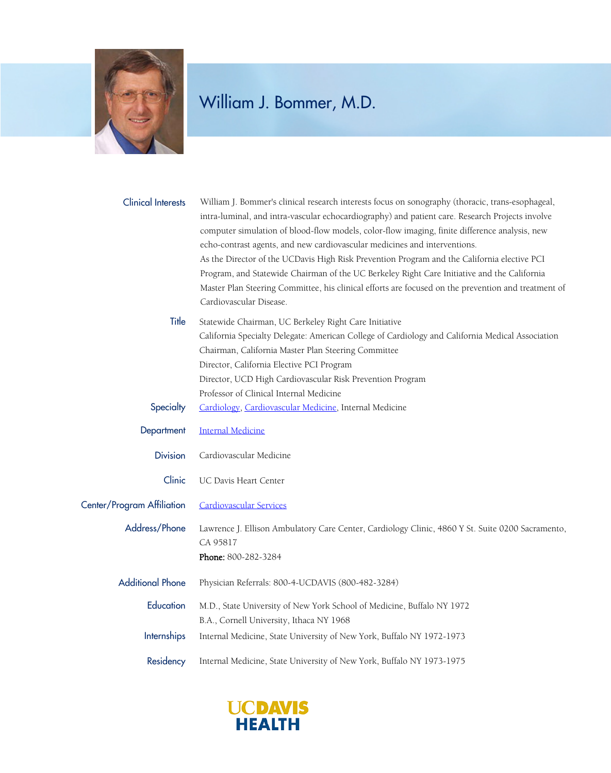

## William J. Bommer, M.D.

| <b>Clinical Interests</b>  | William J. Bommer's clinical research interests focus on sonography (thoracic, trans-esophageal,<br>intra-luminal, and intra-vascular echocardiography) and patient care. Research Projects involve<br>computer simulation of blood-flow models, color-flow imaging, finite difference analysis, new<br>echo-contrast agents, and new cardiovascular medicines and interventions.<br>As the Director of the UCDavis High Risk Prevention Program and the California elective PCI<br>Program, and Statewide Chairman of the UC Berkeley Right Care Initiative and the California<br>Master Plan Steering Committee, his clinical efforts are focused on the prevention and treatment of<br>Cardiovascular Disease. |
|----------------------------|-------------------------------------------------------------------------------------------------------------------------------------------------------------------------------------------------------------------------------------------------------------------------------------------------------------------------------------------------------------------------------------------------------------------------------------------------------------------------------------------------------------------------------------------------------------------------------------------------------------------------------------------------------------------------------------------------------------------|
| Title                      | Statewide Chairman, UC Berkeley Right Care Initiative<br>California Specialty Delegate: American College of Cardiology and California Medical Association<br>Chairman, California Master Plan Steering Committee<br>Director, California Elective PCI Program<br>Director, UCD High Cardiovascular Risk Prevention Program<br>Professor of Clinical Internal Medicine                                                                                                                                                                                                                                                                                                                                             |
| Specialty                  | Cardiology, Cardiovascular Medicine, Internal Medicine                                                                                                                                                                                                                                                                                                                                                                                                                                                                                                                                                                                                                                                            |
| Department                 | <b>Internal Medicine</b>                                                                                                                                                                                                                                                                                                                                                                                                                                                                                                                                                                                                                                                                                          |
| <b>Division</b>            | Cardiovascular Medicine                                                                                                                                                                                                                                                                                                                                                                                                                                                                                                                                                                                                                                                                                           |
| Clinic                     | UC Davis Heart Center                                                                                                                                                                                                                                                                                                                                                                                                                                                                                                                                                                                                                                                                                             |
| Center/Program Affiliation | <b>Cardiovascular Services</b>                                                                                                                                                                                                                                                                                                                                                                                                                                                                                                                                                                                                                                                                                    |
| Address/Phone              | Lawrence J. Ellison Ambulatory Care Center, Cardiology Clinic, 4860 Y St. Suite 0200 Sacramento,<br>CA 95817<br>Phone: 800-282-3284                                                                                                                                                                                                                                                                                                                                                                                                                                                                                                                                                                               |
| <b>Additional Phone</b>    | Physician Referrals: 800-4-UCDAVIS (800-482-3284)                                                                                                                                                                                                                                                                                                                                                                                                                                                                                                                                                                                                                                                                 |
| Education                  | M.D., State University of New York School of Medicine, Buffalo NY 1972<br>B.A., Cornell University, Ithaca NY 1968                                                                                                                                                                                                                                                                                                                                                                                                                                                                                                                                                                                                |
| Internships                | Internal Medicine, State University of New York, Buffalo NY 1972-1973                                                                                                                                                                                                                                                                                                                                                                                                                                                                                                                                                                                                                                             |
| Residency                  | Internal Medicine, State University of New York, Buffalo NY 1973-1975                                                                                                                                                                                                                                                                                                                                                                                                                                                                                                                                                                                                                                             |

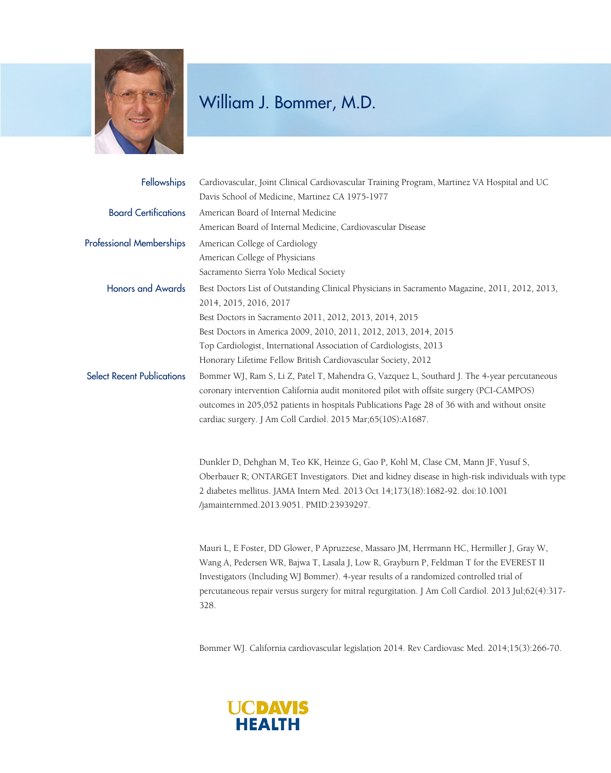

## William J. Bommer, M.D.

| Fellowships                       | Cardiovascular, Joint Clinical Cardiovascular Training Program, Martinez VA Hospital and UC<br>Davis School of Medicine, Martinez CA 1975-1977                                                                                                                                                                                                                                                |
|-----------------------------------|-----------------------------------------------------------------------------------------------------------------------------------------------------------------------------------------------------------------------------------------------------------------------------------------------------------------------------------------------------------------------------------------------|
| <b>Board Certifications</b>       | American Board of Internal Medicine                                                                                                                                                                                                                                                                                                                                                           |
|                                   | American Board of Internal Medicine, Cardiovascular Disease                                                                                                                                                                                                                                                                                                                                   |
| <b>Professional Memberships</b>   | American College of Cardiology                                                                                                                                                                                                                                                                                                                                                                |
|                                   | American College of Physicians                                                                                                                                                                                                                                                                                                                                                                |
|                                   | Sacramento Sierra Yolo Medical Society                                                                                                                                                                                                                                                                                                                                                        |
| <b>Honors and Awards</b>          | Best Doctors List of Outstanding Clinical Physicians in Sacramento Magazine, 2011, 2012, 2013,<br>2014, 2015, 2016, 2017                                                                                                                                                                                                                                                                      |
|                                   | Best Doctors in Sacramento 2011, 2012, 2013, 2014, 2015                                                                                                                                                                                                                                                                                                                                       |
|                                   | Best Doctors in America 2009, 2010, 2011, 2012, 2013, 2014, 2015                                                                                                                                                                                                                                                                                                                              |
|                                   | Top Cardiologist, International Association of Cardiologists, 2013                                                                                                                                                                                                                                                                                                                            |
|                                   | Honorary Lifetime Fellow British Cardiovascular Society, 2012                                                                                                                                                                                                                                                                                                                                 |
| <b>Select Recent Publications</b> | Bommer WJ, Ram S, Li Z, Patel T, Mahendra G, Vazquez L, Southard J. The 4-year percutaneous<br>coronary intervention California audit monitored pilot with offsite surgery (PCI-CAMPOS)<br>outcomes in 205,052 patients in hospitals Publications Page 28 of 36 with and without onsite<br>cardiac surgery. J Am Coll Cardiol. 2015 Mar;65(10S):A1687.                                        |
|                                   | Dunkler D, Dehghan M, Teo KK, Heinze G, Gao P, Kohl M, Clase CM, Mann JF, Yusuf S,<br>Oberbauer R; ONTARGET Investigators. Diet and kidney disease in high-risk individuals with type<br>2 diabetes mellitus. JAMA Intern Med. 2013 Oct 14;173(18):1682-92. doi:10.1001<br>/jamainternmed.2013.9051. PMID:23939297.                                                                           |
|                                   | Mauri L, E Foster, DD Glower, P Apruzzese, Massaro JM, Herrmann HC, Hermiller J, Gray W,<br>Wang A, Pedersen WR, Bajwa T, Lasala J, Low R, Grayburn P, Feldman T for the EVEREST II<br>Investigators (Including WJ Bommer). 4-year results of a randomized controlled trial of<br>percutaneous repair versus surgery for mitral regurgitation. J Am Coll Cardiol. 2013 Jul;62(4):317-<br>328. |

Bommer WJ. California cardiovascular legislation 2014. Rev Cardiovasc Med. 2014;15(3):266-70.